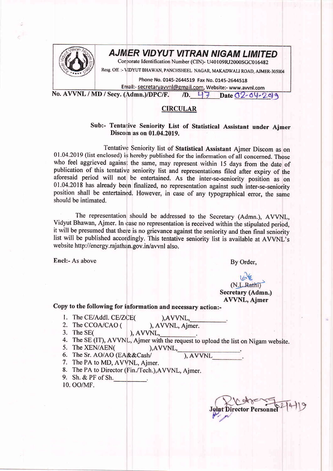

## AJM'ER VIDYUT VITRAN NIGAM LIMITED

Consorate Identification Number (CIN)- U40109RJ2000SGC016482

Resg. Off. :- VIDYUT BHAWAN, PANCHSHEEL NAGAR, MAKADWALI ROAD, AJMER-305004

Phone No. 0145-2644519 Fax No. 0145-2644518

Email:- secretaryavvnl@gmail.com, Website:- www.avvnl.com<br>(Admn.)/DPC/F. /D. 47 Date 02-04-209 No. AVVNL / MD / Secy. (Admn.)/DPC/F.

## CIRCULAR

## Sub:- Tentative Seniority List of Statistical Assistant under Ajmer Discom as on 01.04.2019.

Tentative Seniority list of Statistical Assistant Ajmer Discom as on 01.04.2019 (list enclosed) is hereby published for the information of all concerned. Those who feel aggrieved against the same, may represent within 15 days from the date of publication of this tentative seniority list and representations filed after expiry of the aforesaid period will not be entertained. As the inter-se-seniority position as on 01.04.2018 has already been finalized, no representation against such inter-se-seniority position shall be entertained. However, in case of any typographical error, the same should be intimated.

The representation should be addressed to the Secretary (Admn.), AVVNL, Vidyut Bhawan, Ajmer. In case no representation is received within the stipulated period, it will be presumed that there is no grievance against the seniority and then final seniority list will be published accordingly. This tentative seniority list is available at AVVNL's website http://energy.rajathan.gov.in/avvnl also.

Encl:- As above By Order,

(N.L.Rathi) Secretary (Admn.) AVVNL, Ajmer

Copy to the following for information and necessary action:-

1. The CE/Addl. CE/ZCE(

 $AVVNL$ 

- 2. The CCOA/CAO ( ), AVVNL, Ajmer.
- 3. The SE( ), AVVNL,
- 4. The SE (IT), AVVNL, Ajmer with the request to upload the list on Nigam website.<br>5. The XEN/AEN( ), AVVNL,
- 5. The XEN/AEN( $A$  ),AVVNL,  $A$  ), AVVNL
	-
- 7. The PA to MD, AVVNL, Ajmer.
- 8. The PA to Director (Fin./Tech.), AVVNL, Ajmer.
- 9. Sh.&PFofSh.
- 10. OO/MF.

ector Personnel